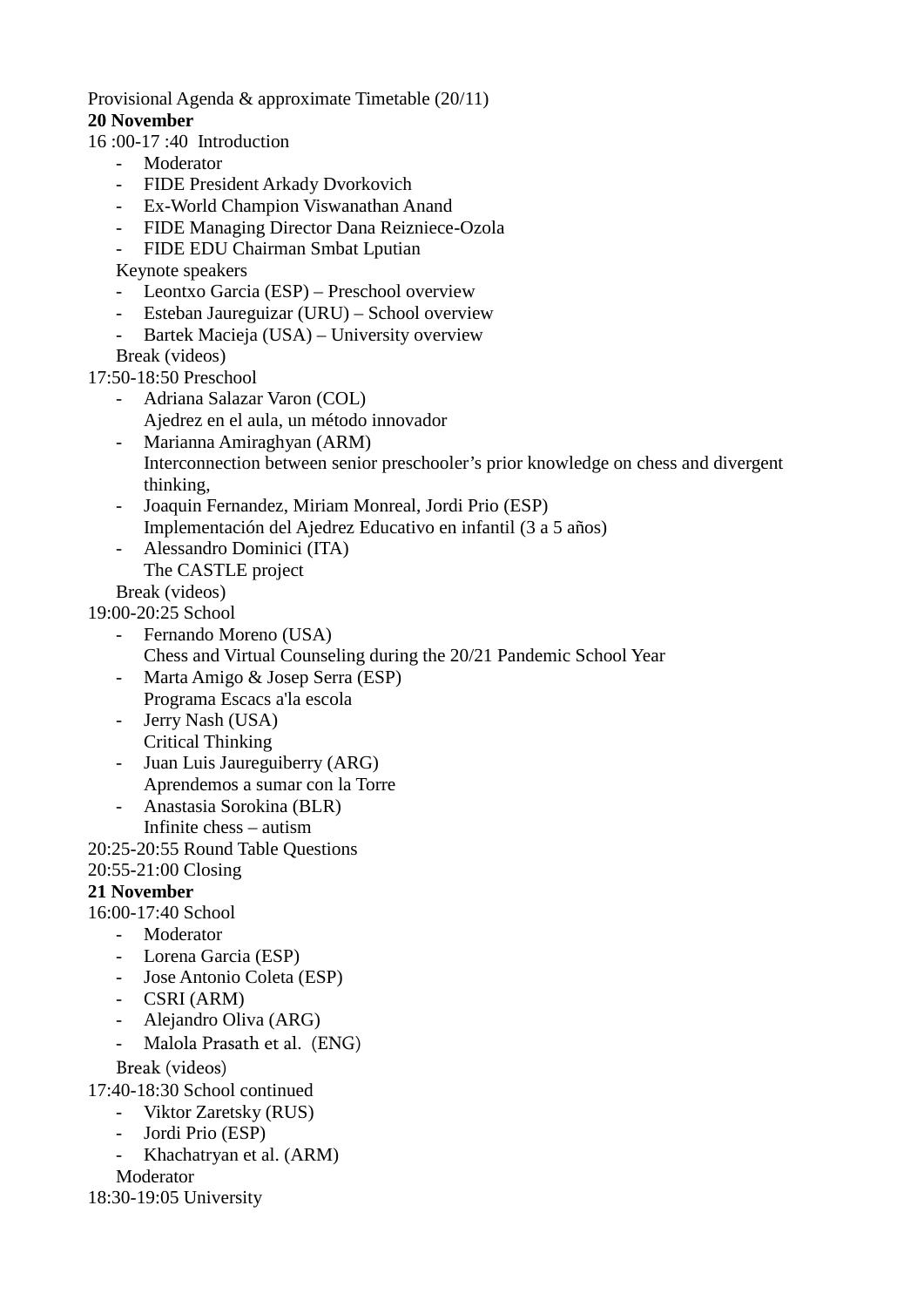Provisional Agenda & approximate Timetable (20/11)

## **20 November**

16 :00-17 :40 Introduction

- **Moderator**
- FIDE President Arkady Dvorkovich
- Ex-World Champion Viswanathan Anand
- FIDE Managing Director Dana Reizniece-Ozola
- FIDE EDU Chairman Smbat Lputian
- Keynote speakers
- Leontxo Garcia (ESP) Preschool overview
- Esteban Jaureguizar (URU) School overview
- Bartek Macieja (USA) University overview

Break (videos)

- 17:50-18:50 Preschool
	- Adriana Salazar Varon (COL) Ajedrez en el aula, un método innovador
	- Marianna Amiraghyan (ARM) Interconnection between senior preschooler's prior knowledge on chess and divergent thinking,
	- Joaquin Fernandez, Miriam Monreal, Jordi Prio (ESP) Implementación del Ajedrez Educativo en infantil (3 a 5 años)
	- Alessandro Dominici (ITA) The CASTLE project

Break (videos)

19:00-20:25 School

- Fernando Moreno (USA) Chess and Virtual Counseling during the 20/21 Pandemic School Year
- Marta Amigo & Josep Serra (ESP) Programa Escacs a'la escola
- Jerry Nash (USA) Critical Thinking
- Juan Luis Jaureguiberry (ARG) Aprendemos a sumar con la Torre
- Anastasia Sorokina (BLR) Infinite chess – autism

20:25-20:55 Round Table Questions

20:55-21:00 Closing

## **21 November**

16:00-17:40 School

- Moderator
- Lorena Garcia (ESP)
- Jose Antonio Coleta (ESP)
- CSRI (ARM)
- Alejandro Oliva (ARG)
- Malola Prasath et al. (ENG)

Break (videos)

17:40-18:30 School continued

- Viktor Zaretsky (RUS)
- Jordi Prio (ESP)
- Khachatryan et al. (ARM)

Moderator

18:30-19:05 University